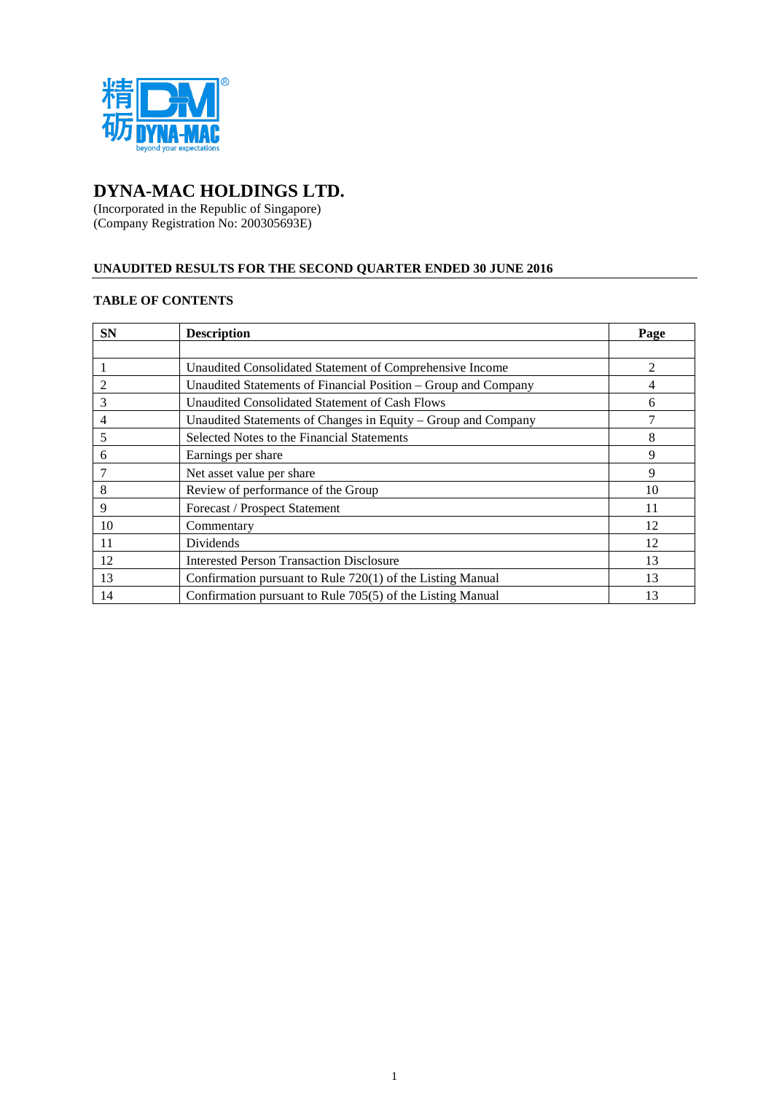

# **DYNA-MAC HOLDINGS LTD.**

(Incorporated in the Republic of Singapore) (Company Registration No: 200305693E)

# **UNAUDITED RESULTS FOR THE SECOND QUARTER ENDED 30 JUNE 2016**

# **TABLE OF CONTENTS**

| <b>SN</b> | <b>Description</b>                                             | Page           |
|-----------|----------------------------------------------------------------|----------------|
|           |                                                                |                |
|           | Unaudited Consolidated Statement of Comprehensive Income       | $\mathfrak{D}$ |
|           | Unaudited Statements of Financial Position – Group and Company |                |
| 3         | Unaudited Consolidated Statement of Cash Flows                 | h              |
| 4         | Unaudited Statements of Changes in Equity – Group and Company  |                |
| 5         | Selected Notes to the Financial Statements                     | 8              |
| 6         | Earnings per share                                             | 9              |
|           | Net asset value per share                                      | 9              |
| 8         | Review of performance of the Group                             | 10             |
| 9         | <b>Forecast / Prospect Statement</b>                           | 11             |
| 10        | Commentary                                                     | 12             |
| 11        | Dividends                                                      | 12             |
| 12        | <b>Interested Person Transaction Disclosure</b>                | 13             |
| 13        | Confirmation pursuant to Rule 720(1) of the Listing Manual     | 13             |
| 14        | Confirmation pursuant to Rule 705(5) of the Listing Manual     | 13             |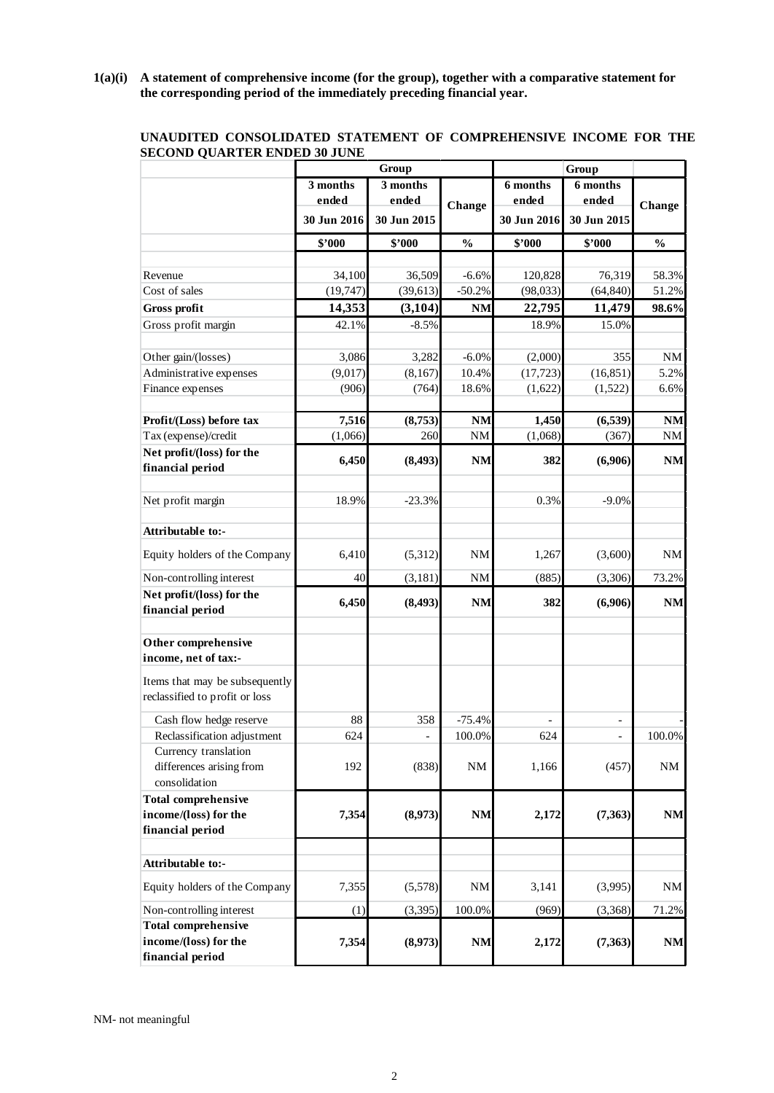**1(a)(i) A statement of comprehensive income (for the group), together with a comparative statement for the corresponding period of the immediately preceding financial year.**

|                                               |             | Group          |               |             |                          |               |
|-----------------------------------------------|-------------|----------------|---------------|-------------|--------------------------|---------------|
|                                               | 3 months    | 3 months       |               | 6 months    | 6 months                 |               |
|                                               | ended       | ended          | Change        | ended       | ended                    |               |
|                                               | 30 Jun 2016 | 30 Jun 2015    |               | 30 Jun 2016 | 30 Jun 2015              | Change        |
|                                               | \$2000      | \$2000         | $\frac{0}{0}$ | \$'000      | \$'000                   | $\frac{0}{0}$ |
|                                               |             |                |               |             |                          |               |
| Revenue                                       | 34,100      | 36,509         | $-6.6%$       | 120,828     | 76,319                   | 58.3%         |
| Cost of sales                                 | (19, 747)   | (39, 613)      | $-50.2%$      | (98, 033)   | (64, 840)                | 51.2%         |
| <b>Gross profit</b>                           | 14,353      | (3, 104)       | <b>NM</b>     | 22,795      | 11,479                   | 98.6%         |
| Gross profit margin                           | 42.1%       | $-8.5%$        |               | 18.9%       | 15.0%                    |               |
| Other gain/(losses)                           | 3,086       | 3,282          | $-6.0\%$      | (2,000)     | 355                      | <b>NM</b>     |
| Administrative expenses                       | (9,017)     | (8,167)        | 10.4%         | (17, 723)   | (16, 851)                | 5.2%          |
| Finance expenses                              | (906)       | (764)          | 18.6%         | (1,622)     | (1,522)                  | 6.6%          |
| Profit/(Loss) before tax                      | 7,516       | (8,753)        | <b>NM</b>     | 1,450       | (6, 539)                 | <b>NM</b>     |
| Tax (expense)/credit                          | (1,066)     | 260            | $\mathrm{NM}$ | (1,068)     | (367)                    | $\rm{NM}$     |
| Net profit/(loss) for the                     |             |                |               |             |                          |               |
| financial period                              | 6,450       | (8, 493)       | <b>NM</b>     | 382         | (6,906)                  | <b>NM</b>     |
|                                               |             |                |               |             |                          |               |
| Net profit margin                             | 18.9%       | $-23.3%$       |               | 0.3%        | $-9.0%$                  |               |
| Attributable to:-                             |             |                |               |             |                          |               |
| Equity holders of the Company                 | 6,410       | (5,312)        | <b>NM</b>     | 1,267       | (3,600)                  | <b>NM</b>     |
| Non-controlling interest                      | 40          | (3,181)        | <b>NM</b>     | (885)       | (3,306)                  | 73.2%         |
| Net profit/(loss) for the<br>financial period | 6,450       | (8, 493)       | <b>NM</b>     | 382         | (6,906)                  | <b>NM</b>     |
|                                               |             |                |               |             |                          |               |
| Other comprehensive                           |             |                |               |             |                          |               |
| income, net of tax:-                          |             |                |               |             |                          |               |
| Items that may be subsequently                |             |                |               |             |                          |               |
| reclassified to profit or loss                |             |                |               |             |                          |               |
| Cash flow hedge reserve                       | 88          | 358            | $-75.4%$      |             | $\overline{\phantom{a}}$ |               |
| Reclassification adjustment                   | 624         | $\overline{a}$ | 100.0%        | 624         | $\overline{\phantom{a}}$ | 100.0%        |
| Currency translation                          |             |                |               |             |                          |               |
| differences arising from                      | 192         | (838)          | <b>NM</b>     | 1,166       | (457)                    | $\rm{NM}$     |
| consolidation                                 |             |                |               |             |                          |               |
| <b>Total comprehensive</b>                    |             |                |               |             |                          |               |
| income/(loss) for the                         | 7,354       | (8,973)        | <b>NM</b>     | 2,172       | (7, 363)                 | $\mathbf{NM}$ |
| financial period                              |             |                |               |             |                          |               |
|                                               |             |                |               |             |                          |               |
| Attributable to:-                             |             |                |               |             |                          |               |
| Equity holders of the Company                 | 7,355       | (5,578)        | NM            | 3,141       | (3,995)                  | <b>NM</b>     |
| Non-controlling interest                      | (1)         | (3, 395)       | 100.0%        | (969)       | (3,368)                  | 71.2%         |
| <b>Total comprehensive</b>                    |             |                |               |             |                          |               |
| income/(loss) for the                         | 7,354       | (8,973)        | <b>NM</b>     | 2,172       | (7, 363)                 | <b>NM</b>     |
| financial period                              |             |                |               |             |                          |               |

# **UNAUDITED CONSOLIDATED STATEMENT OF COMPREHENSIVE INCOME FOR THE SECOND QUARTER ENDED 30 JUNE**

NM- not meaningful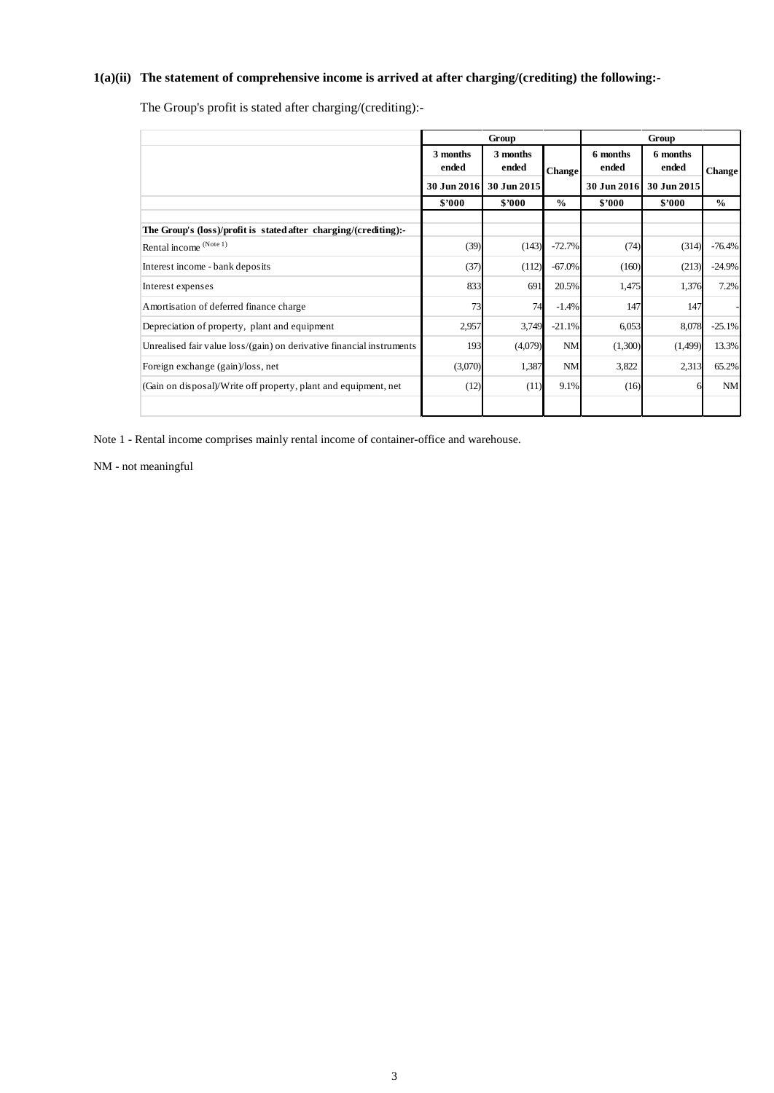# **1(a)(ii) The statement of comprehensive income is arrived at after charging/(crediting) the following:-**

The Group's profit is stated after charging/(crediting):-

|                                                                       |                   | Group             |               | Group             |                   |               |  |
|-----------------------------------------------------------------------|-------------------|-------------------|---------------|-------------------|-------------------|---------------|--|
|                                                                       | 3 months<br>ended | 3 months<br>ended | <b>Change</b> | 6 months<br>ended | 6 months<br>ended | <b>Change</b> |  |
|                                                                       | 30 Jun 2016       | 30 Jun 2015       |               | 30 Jun 2016       | 30 Jun 2015       |               |  |
|                                                                       | \$'000            | \$'000            | $\frac{0}{0}$ | \$2000            | \$7000            | $\frac{0}{0}$ |  |
| The Group's (loss)/profit is stated after charging/(crediting):-      |                   |                   |               |                   |                   |               |  |
| Rental income (Note 1)                                                | (39)              | (143)             | $-72.7%$      | (74)              | (314)             | $-76.4%$      |  |
| Interest income - bank deposits                                       | (37)              | (112)             | $-67.0%$      | (160)             | (213)             | $-24.9%$      |  |
| Interest expenses                                                     | 833               | 691               | 20.5%         | 1,475             | 1,376             | 7.2%          |  |
| Amortisation of deferred finance charge                               | 73                | 74                | $-1.4%$       | 147               | 147               |               |  |
| Depreciation of property, plant and equipment                         | 2,957             | 3,749             | $-21.1%$      | 6,053             | 8,078             | $-25.1%$      |  |
| Unrealised fair value loss/(gain) on derivative financial instruments | 193               | (4,079)           | <b>NM</b>     | (1,300)           | (1,499)           | 13.3%         |  |
| Foreign exchange (gain)/loss, net                                     | (3,070)           | 1,387             | <b>NM</b>     | 3,822             | 2,313             | 65.2%         |  |
| (Gain on disposal)/Write off property, plant and equipment, net       | (12)              | (11)              | 9.1%          | (16)              |                   | NM            |  |
|                                                                       |                   |                   |               |                   |                   |               |  |

Note 1 - Rental income comprises mainly rental income of container-office and warehouse.

NM - not meaningful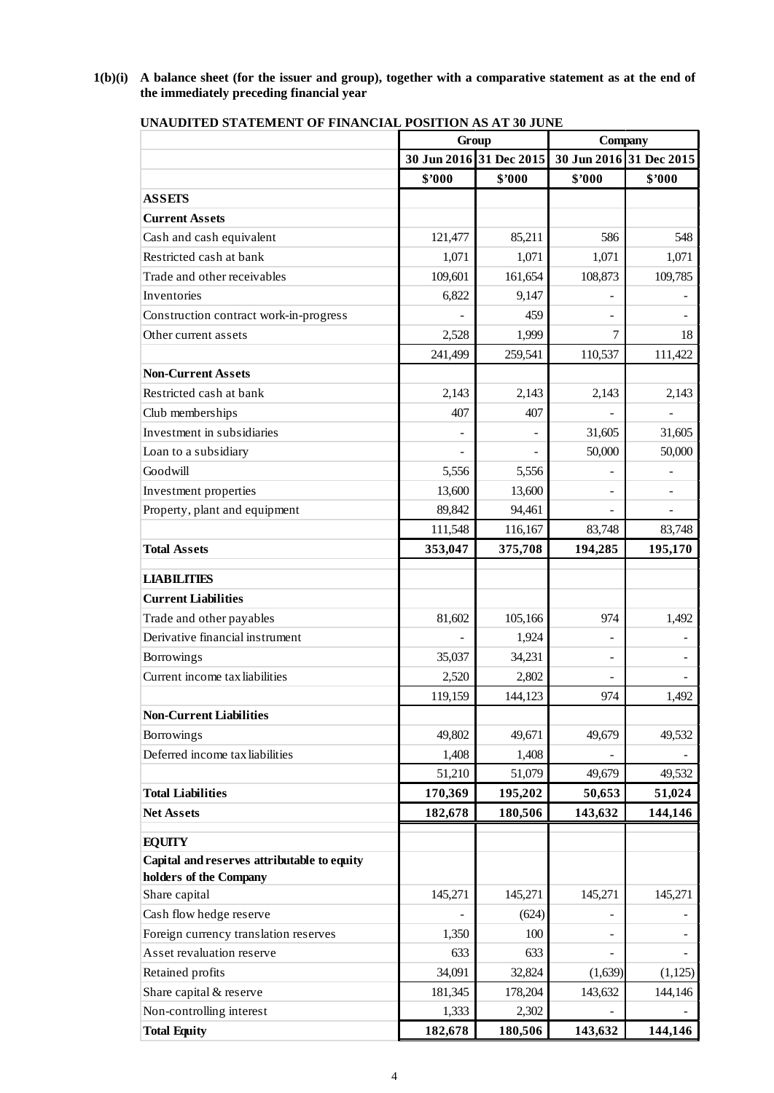**1(b)(i) A balance sheet (for the issuer and group), together with a comparative statement as at the end of the immediately preceding financial year**

|                                             | Group   |                         | Company                  |                         |  |
|---------------------------------------------|---------|-------------------------|--------------------------|-------------------------|--|
|                                             |         | 30 Jun 2016 31 Dec 2015 |                          | 30 Jun 2016 31 Dec 2015 |  |
|                                             | \$7000  | \$2000                  | \$7000                   | \$7000                  |  |
| <b>ASSETS</b>                               |         |                         |                          |                         |  |
| <b>Current Assets</b>                       |         |                         |                          |                         |  |
| Cash and cash equivalent                    | 121,477 | 85,211                  | 586                      | 548                     |  |
| Restricted cash at bank                     | 1,071   | 1,071                   | 1,071                    | 1,071                   |  |
| Trade and other receivables                 | 109,601 | 161,654                 | 108,873                  | 109,785                 |  |
| <b>Inventories</b>                          | 6,822   | 9,147                   |                          |                         |  |
| Construction contract work-in-progress      |         | 459                     |                          |                         |  |
| Other current assets                        | 2,528   | 1,999                   | 7                        | 18                      |  |
|                                             | 241,499 | 259,541                 | 110,537                  | 111,422                 |  |
| <b>Non-Current Assets</b>                   |         |                         |                          |                         |  |
| Restricted cash at bank                     | 2,143   | 2,143                   | 2,143                    | 2,143                   |  |
| Club memberships                            | 407     | 407                     |                          |                         |  |
| Investment in subsidiaries                  |         |                         | 31,605                   | 31,605                  |  |
| Loan to a subsidiary                        |         |                         | 50,000                   | 50,000                  |  |
| Goodwill                                    | 5,556   | 5,556                   |                          |                         |  |
| Investment properties                       | 13,600  | 13,600                  |                          |                         |  |
| Property, plant and equipment               | 89,842  | 94,461                  |                          |                         |  |
|                                             | 111,548 | 116,167                 | 83,748                   | 83,748                  |  |
| <b>Total Assets</b>                         | 353,047 | 375,708                 | 194,285                  | 195,170                 |  |
|                                             |         |                         |                          |                         |  |
| <b>LIABILITIES</b>                          |         |                         |                          |                         |  |
| <b>Current Liabilities</b>                  |         |                         |                          |                         |  |
| Trade and other payables                    | 81,602  | 105,166                 | 974                      | 1,492                   |  |
| Derivative financial instrument             |         | 1,924                   | $\overline{\phantom{0}}$ |                         |  |
| Borrowings                                  | 35,037  | 34,231                  |                          |                         |  |
| Current income tax liabilities              | 2,520   | 2,802                   | ÷.                       |                         |  |
|                                             | 119,159 | 144,123                 | 974                      | 1,492                   |  |
| <b>Non-Current Liabilities</b>              |         |                         |                          |                         |  |
| Borrowings                                  | 49,802  | 49,671                  | 49,679                   | 49,532                  |  |
| Deferred income tax liabilities             | 1,408   | 1,408                   |                          |                         |  |
|                                             | 51,210  | 51,079                  | 49,679                   | 49,532                  |  |
| <b>Total Liabilities</b>                    | 170,369 | 195,202                 | 50,653                   | 51,024                  |  |
| <b>Net Assets</b>                           | 182,678 | 180,506                 | 143,632                  | 144,146                 |  |
| <b>EQUITY</b>                               |         |                         |                          |                         |  |
| Capital and reserves attributable to equity |         |                         |                          |                         |  |
| holders of the Company                      |         |                         |                          |                         |  |
| Share capital                               | 145,271 | 145,271                 | 145,271                  | 145,271                 |  |
| Cash flow hedge reserve                     |         | (624)                   |                          |                         |  |
| Foreign currency translation reserves       | 1,350   | 100                     |                          |                         |  |
| Asset revaluation reserve                   | 633     | 633                     |                          |                         |  |
| Retained profits                            | 34,091  | 32,824                  | (1,639)                  | (1,125)                 |  |
| Share capital & reserve                     | 181,345 | 178,204                 | 143,632                  | 144,146                 |  |
| Non-controlling interest                    | 1,333   | 2,302                   |                          |                         |  |
| <b>Total Equity</b>                         | 182,678 | 180,506                 | 143,632                  | 144,146                 |  |

**UNAUDITED STATEMENT OF FINANCIAL POSITION AS AT 30 JUNE**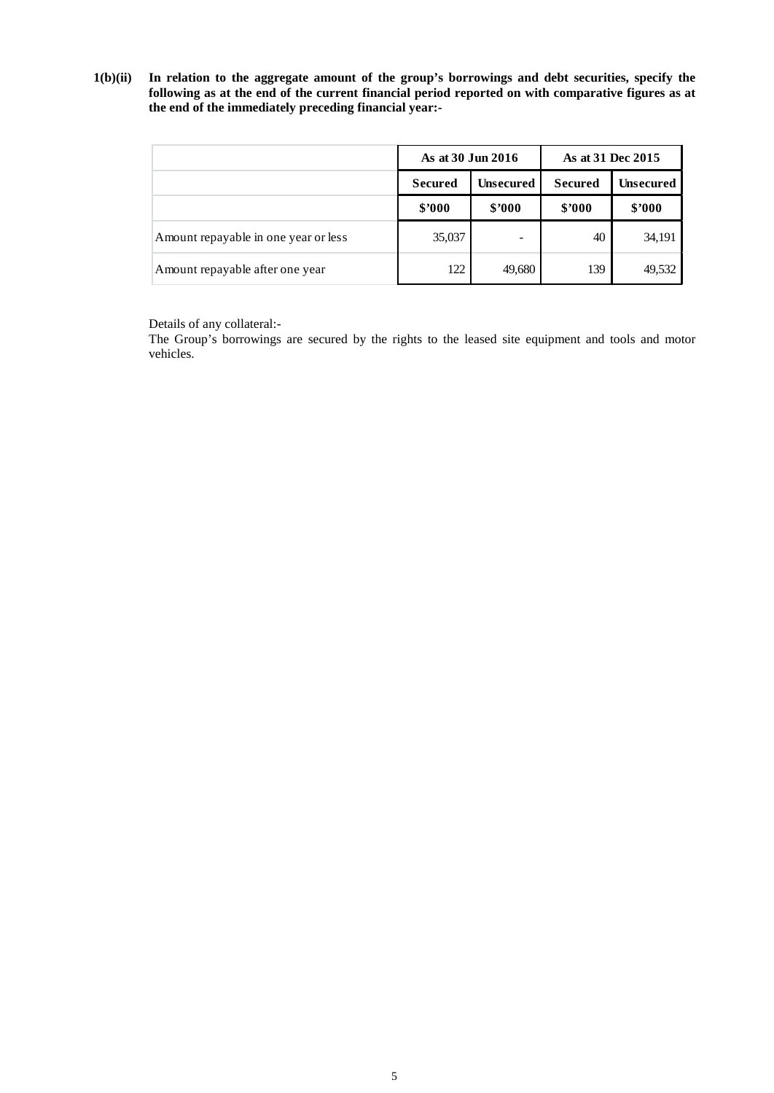**1(b)(ii) In relation to the aggregate amount of the group's borrowings and debt securities, specify the following as at the end of the current financial period reported on with comparative figures as at the end of the immediately preceding financial year:-**

|                                      | As at 30 Jun 2016                                    |        | As at 31 Dec 2015 |           |  |
|--------------------------------------|------------------------------------------------------|--------|-------------------|-----------|--|
|                                      | <b>Unsecured</b><br><b>Secured</b><br><b>Secured</b> |        |                   | Unsecured |  |
|                                      | \$2000                                               | \$2000 | \$2000            | \$2000    |  |
| Amount repayable in one year or less | 35,037                                               |        | 40                | 34,191    |  |
| Amount repayable after one year      | 122                                                  | 49,680 | 139               | 49,532    |  |

Details of any collateral:-

The Group's borrowings are secured by the rights to the leased site equipment and tools and motor vehicles.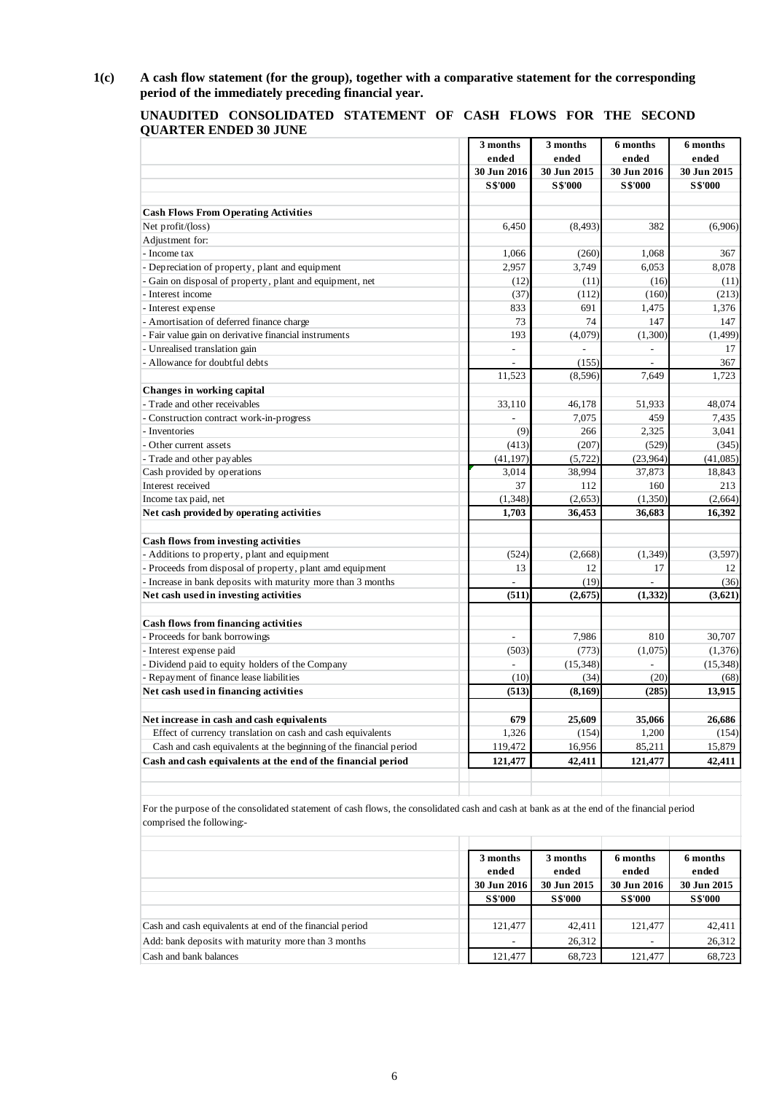**1(c) A cash flow statement (for the group), together with a comparative statement for the corresponding period of the immediately preceding financial year.**

| UNAUDITED CONSOLIDATED STATEMENT OF CASH FLOWS FOR THE SECOND |  |  |  |  |
|---------------------------------------------------------------|--|--|--|--|
| <b>QUARTER ENDED 30 JUNE</b>                                  |  |  |  |  |

|                                                                    | 3 months                    | 3 months       | 6 months                 | 6 months       |  |
|--------------------------------------------------------------------|-----------------------------|----------------|--------------------------|----------------|--|
|                                                                    | ended                       | ended          | ended                    | ended          |  |
|                                                                    | 30 Jun 2016                 | 30 Jun 2015    | 30 Jun 2016              | 30 Jun 2015    |  |
|                                                                    | <b>S\$'000</b>              | <b>S\$'000</b> | <b>S\$'000</b>           | <b>S\$'000</b> |  |
| <b>Cash Flows From Operating Activities</b>                        |                             |                |                          |                |  |
| Net profit/(loss)                                                  | 6,450                       | (8, 493)       | 382                      | (6,906)        |  |
| Adjustment for:                                                    |                             |                |                          |                |  |
| - Income tax                                                       | 1,066                       | (260)          | 1,068                    | 367            |  |
| - Depreciation of property, plant and equipment                    | 2,957                       | 3,749          | 6,053                    | 8,078          |  |
| - Gain on disposal of property, plant and equipment, net           | (12)                        | (11)           | (16)                     | (11)           |  |
| - Interest income                                                  | (37)                        | (112)          | (160)                    | (213)          |  |
| - Interest expense                                                 | 833                         | 691            | 1,475                    | 1,376          |  |
| - Amortisation of deferred finance charge                          | 73                          | 74             | 147                      | 147            |  |
| - Fair value gain on derivative financial instruments              | 193                         | (4,079)        | (1,300)                  | (1, 499)       |  |
| - Unrealised translation gain                                      | $\mathcal{L}^{\mathcal{A}}$ | $\overline{a}$ | ÷.                       | 17             |  |
| - Allowance for doubtful debts                                     | $\overline{a}$              | (155)          | $\overline{a}$           | 367            |  |
|                                                                    | 11,523                      | (8,596)        | 7,649                    | 1,723          |  |
| Changes in working capital                                         |                             |                |                          |                |  |
| - Trade and other receivables                                      | 33,110                      | 46,178         | 51,933                   | 48,074         |  |
| - Construction contract work-in-progress                           | $\overline{a}$              | 7,075          | 459                      | 7,435          |  |
| - Inventories                                                      | (9)                         | 266            | 2,325                    | 3,041          |  |
| - Other current assets                                             | (413)                       | (207)          | (529)                    | (345)          |  |
| - Trade and other payables                                         | (41, 197)                   | (5, 722)       | (23,964)                 | (41,085)       |  |
| Cash provided by operations                                        | 3,014                       | 38,994         | 37,873                   | 18,843         |  |
| Interest received                                                  | 37                          | 112            | 160                      | 213            |  |
| Income tax paid, net                                               | (1, 348)                    | (2,653)        | (1,350)                  | (2,664)        |  |
| Net cash provided by operating activities                          | 1,703                       | 36,453         | 36,683                   | 16,392         |  |
| Cash flows from investing activities                               |                             |                |                          |                |  |
| - Additions to property, plant and equipment                       | (524)                       | (2,668)        | (1,349)                  | (3,597)        |  |
| - Proceeds from disposal of property, plant amd equipment          | 13                          | 12             | 17                       | 12             |  |
| - Increase in bank deposits with maturity more than 3 months       | $\overline{a}$              | (19)           | $\overline{\phantom{a}}$ | (36)           |  |
| Net cash used in investing activities                              | (511)                       | (2,675)        | (1,332)                  | (3,621)        |  |
| <b>Cash flows from financing activities</b>                        |                             |                |                          |                |  |
| - Proceeds for bank borrowings                                     | $\overline{a}$              | 7.986          | 810                      | 30,707         |  |
| - Interest expense paid                                            | (503)                       | (773)          | (1,075)                  | (1,376)        |  |
| - Dividend paid to equity holders of the Company                   | ÷                           | (15, 348)      |                          | (15, 348)      |  |
| - Repayment of finance lease liabilities                           | (10)                        | (34)           | (20)                     | (68)           |  |
| Net cash used in financing activities                              | (513)                       | (8, 169)       | (285)                    | 13,915         |  |
| Net increase in cash and cash equivalents                          | 679                         | 25,609         | 35,066                   | 26,686         |  |
| Effect of currency translation on cash and cash equivalents        | 1,326                       | (154)          | 1,200                    | (154)          |  |
| Cash and cash equivalents at the beginning of the financial period | 119,472                     | 16,956         | 85,211                   | 15,879         |  |
| Cash and cash equivalents at the end of the financial period       | 121,477                     | 42,411         | 121,477                  | 42,411         |  |

For the purpose of the consolidated statement of cash flows, the consolidated cash and cash at bank as at the end of the financial period comprised the following:-

|                                                          | 3 months                 | 3 months             | 6 months                 | 6 months             |
|----------------------------------------------------------|--------------------------|----------------------|--------------------------|----------------------|
|                                                          | ended<br>30 Jun 2016     | ended<br>30 Jun 2015 | ended<br>30 Jun 2016     | ended<br>30 Jun 2015 |
|                                                          | <b>S\$'000</b>           | <b>S\$'000</b>       | <b>S\$'000</b>           | <b>S\$'000</b>       |
|                                                          |                          |                      |                          |                      |
| Cash and cash equivalents at end of the financial period | 121.477                  | 42.411               | 121.477                  | 42,411               |
| Add: bank deposits with maturity more than 3 months      | $\overline{\phantom{a}}$ | 26,312               | $\overline{\phantom{a}}$ | 26,312               |
| Cash and bank balances                                   | 121,477                  | 68,723               | 121,477                  | 68,723               |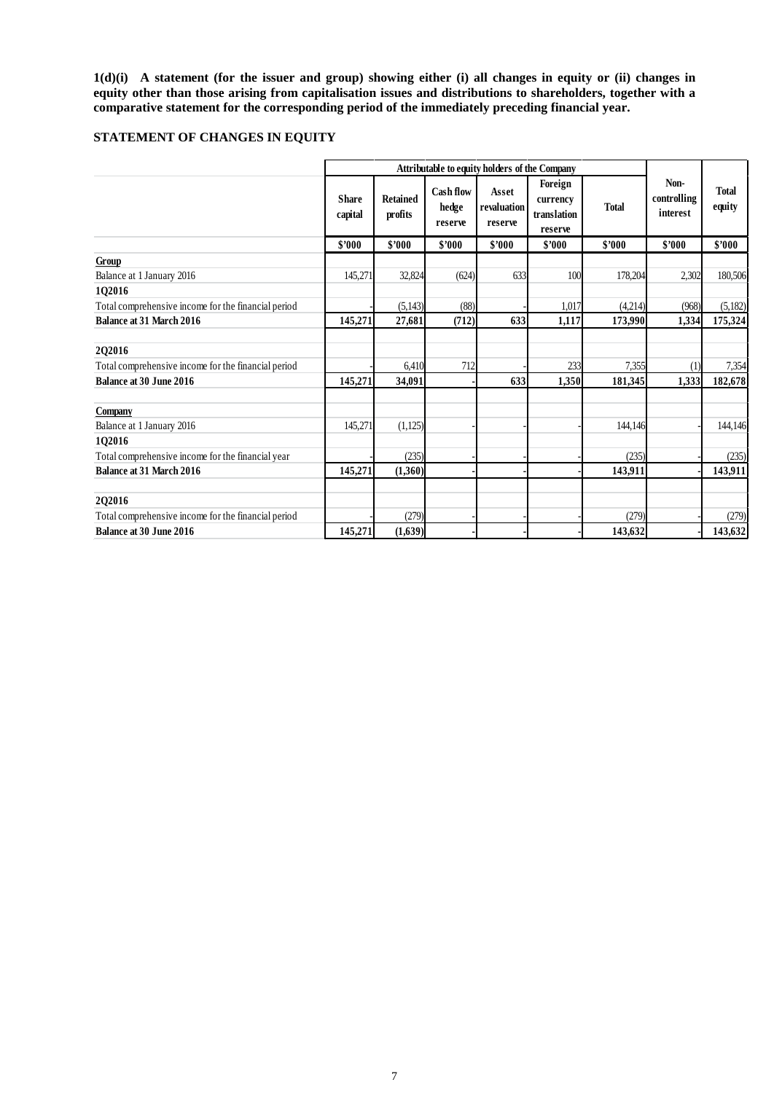**1(d)(i) A statement (for the issuer and group) showing either (i) all changes in equity or (ii) changes in equity other than those arising from capitalisation issues and distributions to shareholders, together with a comparative statement for the corresponding period of the immediately preceding financial year.**

# **STATEMENT OF CHANGES IN EQUITY**

|                                                     |                         |                            |                               | <b>Attributable to equity holders of the Company</b> |                                               |              |                                 |                        |
|-----------------------------------------------------|-------------------------|----------------------------|-------------------------------|------------------------------------------------------|-----------------------------------------------|--------------|---------------------------------|------------------------|
|                                                     | <b>Share</b><br>capital | <b>Retained</b><br>profits | Cash flow<br>hedge<br>reserve | Asset<br>revaluation<br>reserve                      | Foreign<br>currency<br>translation<br>reserve | <b>Total</b> | Non-<br>controlling<br>interest | <b>Total</b><br>equity |
|                                                     | \$2000                  | \$'000                     | \$2000                        | \$'000                                               | \$2000                                        | \$'000       | \$2000                          | \$'000                 |
| Group                                               |                         |                            |                               |                                                      |                                               |              |                                 |                        |
| Balance at 1 January 2016                           | 145,271                 | 32,824                     | (624)                         | 633                                                  | 100                                           | 178,204      | 2,302                           | 180,506                |
| 102016                                              |                         |                            |                               |                                                      |                                               |              |                                 |                        |
| Total comprehensive income for the financial period |                         | (5, 143)                   | (88)                          |                                                      | 1.017                                         | (4,214)      | (968)                           | (5,182)                |
| Balance at 31 March 2016                            | 145,271                 | 27,681                     | (712)                         | 633                                                  | 1,117                                         | 173,990      | 1,334                           | 175,324                |
| 202016                                              |                         |                            |                               |                                                      |                                               |              |                                 |                        |
| Total comprehensive income for the financial period |                         | 6,410                      | 712                           |                                                      | 233                                           | 7,355        | (1)                             | 7,354                  |
| <b>Balance at 30 June 2016</b>                      | 145,271                 | 34,091                     |                               | 633                                                  | 1,350                                         | 181,345      | 1,333                           | 182,678                |
| Company                                             |                         |                            |                               |                                                      |                                               |              |                                 |                        |
| Balance at 1 January 2016                           | 145,271                 | (1,125)                    |                               |                                                      |                                               | 144,146      |                                 | 144,146                |
| 102016                                              |                         |                            |                               |                                                      |                                               |              |                                 |                        |
| Total comprehensive income for the financial year   |                         | (235)                      |                               |                                                      |                                               | (235)        |                                 | (235)                  |
| Balance at 31 March 2016                            | 145,271                 | (1,360)                    |                               |                                                      |                                               | 143,911      |                                 | 143,911                |
| 2Q2016                                              |                         |                            |                               |                                                      |                                               |              |                                 |                        |
| Total comprehensive income for the financial period |                         | (279)                      |                               |                                                      |                                               | (279)        |                                 | (279)                  |
| <b>Balance at 30 June 2016</b>                      | 145,271                 | (1,639)                    |                               |                                                      |                                               | 143,632      |                                 | 143,632                |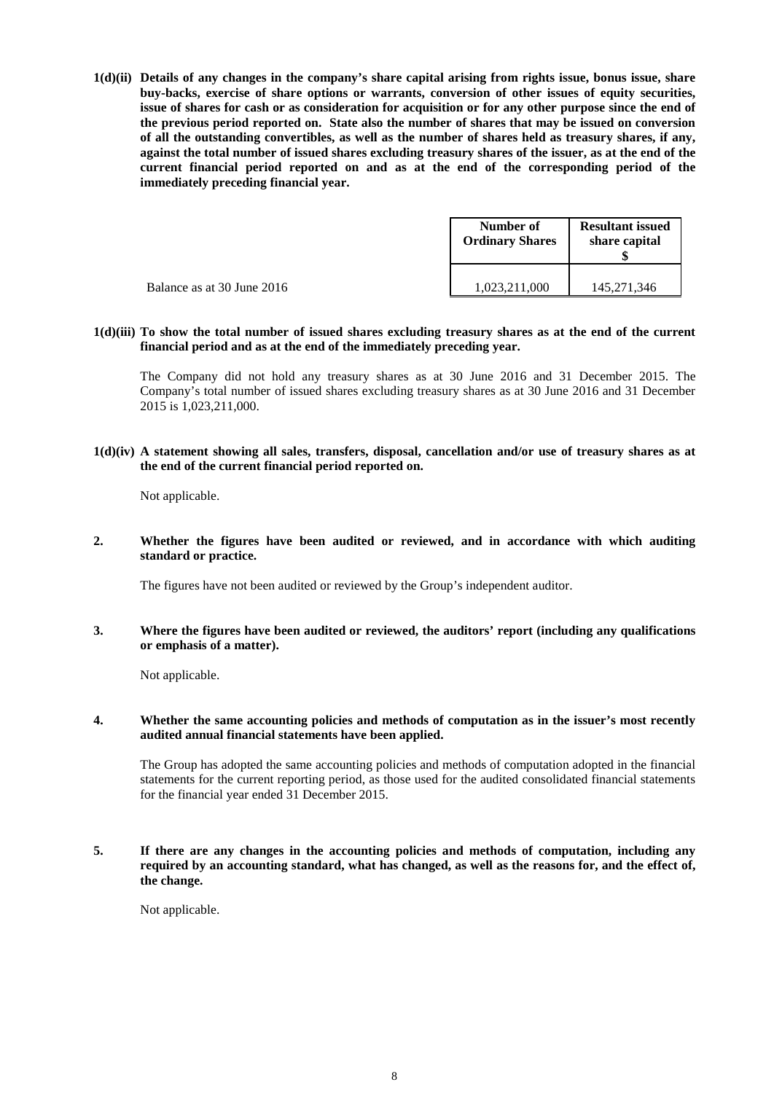**1(d)(ii) Details of any changes in the company's share capital arising from rights issue, bonus issue, share buy-backs, exercise of share options or warrants, conversion of other issues of equity securities, issue of shares for cash or as consideration for acquisition or for any other purpose since the end of the previous period reported on. State also the number of shares that may be issued on conversion of all the outstanding convertibles, as well as the number of shares held as treasury shares, if any, against the total number of issued shares excluding treasury shares of the issuer, as at the end of the current financial period reported on and as at the end of the corresponding period of the immediately preceding financial year.**

|                            | Number of<br><b>Ordinary Shares</b> | <b>Resultant issued</b><br>share capital |  |
|----------------------------|-------------------------------------|------------------------------------------|--|
| Balance as at 30 June 2016 | 1,023,211,000                       | 145,271,346                              |  |

**1(d)(iii) To show the total number of issued shares excluding treasury shares as at the end of the current financial period and as at the end of the immediately preceding year.**

The Company did not hold any treasury shares as at 30 June 2016 and 31 December 2015. The Company's total number of issued shares excluding treasury shares as at 30 June 2016 and 31 December 2015 is 1,023,211,000.

**1(d)(iv) A statement showing all sales, transfers, disposal, cancellation and/or use of treasury shares as at the end of the current financial period reported on.**

Not applicable.

**2. Whether the figures have been audited or reviewed, and in accordance with which auditing standard or practice.**

The figures have not been audited or reviewed by the Group's independent auditor.

**3. Where the figures have been audited or reviewed, the auditors' report (including any qualifications or emphasis of a matter).**

Not applicable.

## **4. Whether the same accounting policies and methods of computation as in the issuer's most recently audited annual financial statements have been applied.**

The Group has adopted the same accounting policies and methods of computation adopted in the financial statements for the current reporting period, as those used for the audited consolidated financial statements for the financial year ended 31 December 2015.

**5. If there are any changes in the accounting policies and methods of computation, including any required by an accounting standard, what has changed, as well as the reasons for, and the effect of, the change.**

Not applicable.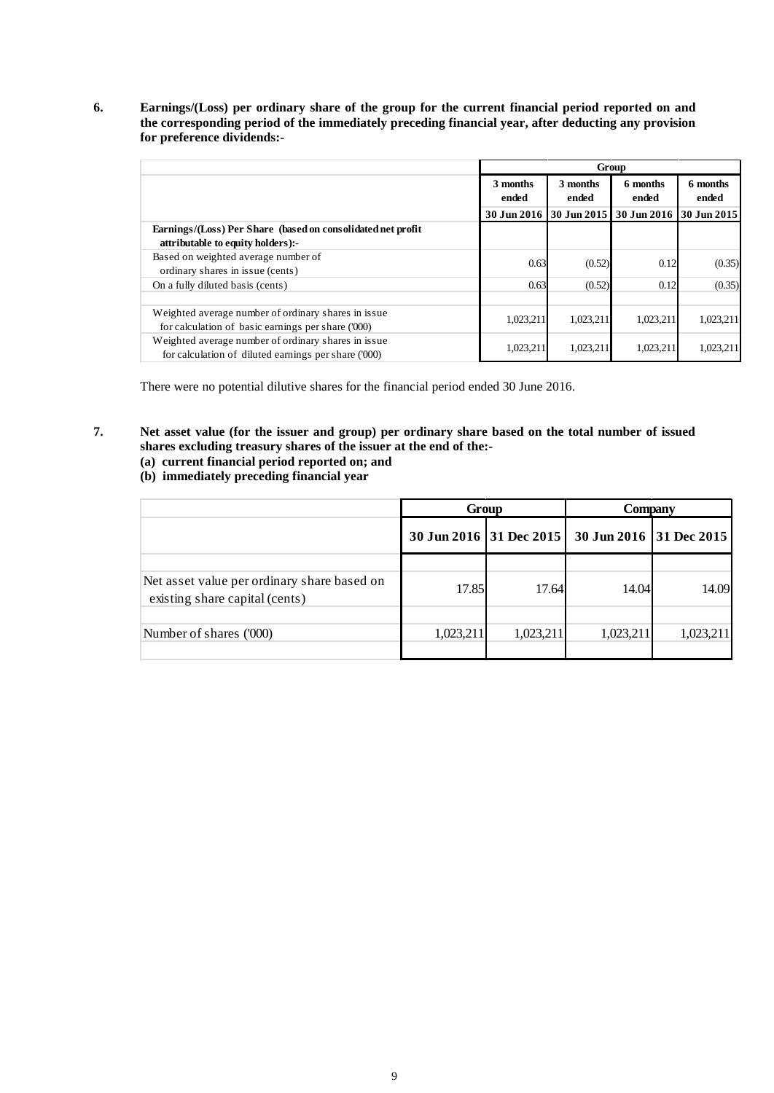**6. Earnings/(Loss) per ordinary share of the group for the current financial period reported on and the corresponding period of the immediately preceding financial year, after deducting any provision for preference dividends:-**

|                                                                                                              | Group             |                                        |                                                 |           |                   |  |  |
|--------------------------------------------------------------------------------------------------------------|-------------------|----------------------------------------|-------------------------------------------------|-----------|-------------------|--|--|
|                                                                                                              | 3 months<br>ended | 3 months<br>6 months<br>ended<br>ended |                                                 |           | 6 months<br>ended |  |  |
|                                                                                                              |                   |                                        | 30 Jun 2016 30 Jun 2015 30 Jun 2016 30 Jun 2015 |           |                   |  |  |
| Earnings/(Loss) Per Share (based on consolidated net profit<br>attributable to equity holders):-             |                   |                                        |                                                 |           |                   |  |  |
| Based on weighted average number of<br>ordinary shares in issue (cents)                                      | 0.63              | (0.52)                                 | 0.12                                            | (0.35)    |                   |  |  |
| On a fully diluted basis (cents)                                                                             | 0.63              | (0.52)                                 | 0.12                                            | (0.35)    |                   |  |  |
| Weighted average number of ordinary shares in issue.<br>for calculation of basic earnings per share ('000)   | 1,023,211         | 1,023,211                              | 1,023,211                                       | 1.023.211 |                   |  |  |
| Weighted average number of ordinary shares in issue.<br>for calculation of diluted earnings per share ('000) | 1,023,211         | 1,023,211                              | 1,023,211                                       | 1,023,211 |                   |  |  |

There were no potential dilutive shares for the financial period ended 30 June 2016.

- **7. Net asset value (for the issuer and group) per ordinary share based on the total number of issued shares excluding treasury shares of the issuer at the end of the:-**
	- **(a) current financial period reported on; and**
	- **(b) immediately preceding financial year**

|                                                                               | Group                   |           | Company   |           |                         |  |
|-------------------------------------------------------------------------------|-------------------------|-----------|-----------|-----------|-------------------------|--|
|                                                                               | 30 Jun 2016 31 Dec 2015 |           |           |           | 30 Jun 2016 31 Dec 2015 |  |
| Net asset value per ordinary share based on<br>existing share capital (cents) | 17.85                   | 17.64     | 14.04     | 14.09     |                         |  |
| Number of shares ('000)                                                       | 1,023,211               | 1,023,211 | 1,023,211 | 1,023,211 |                         |  |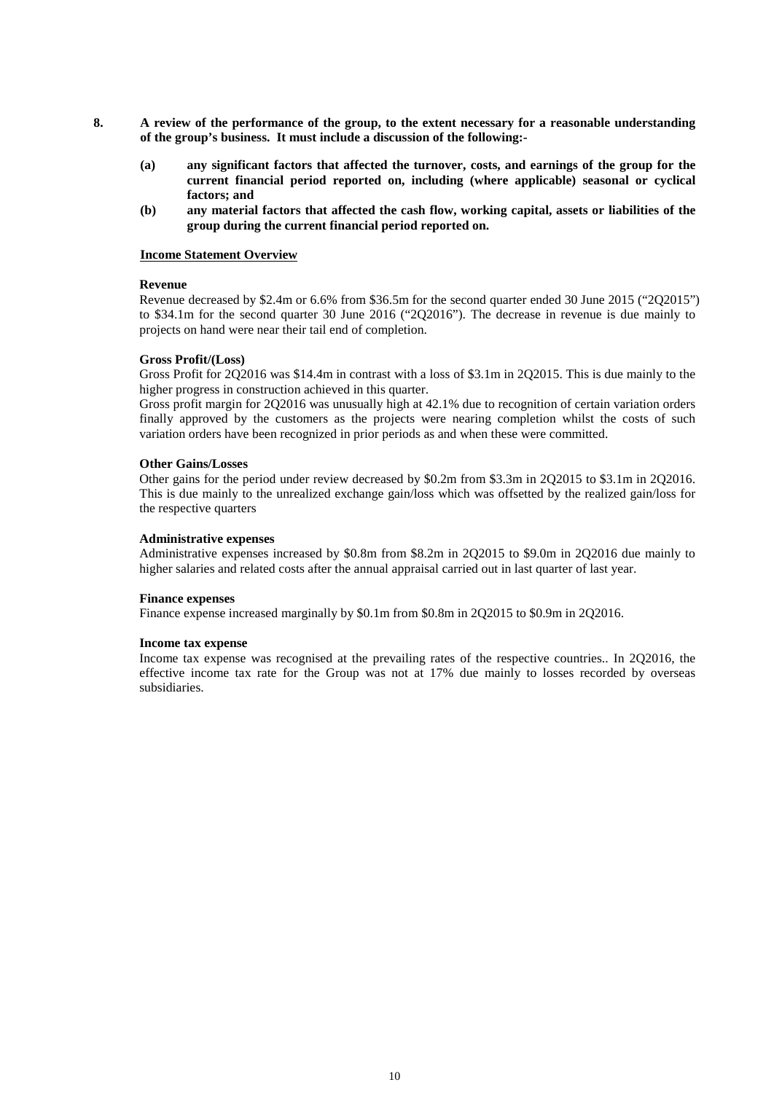- **8. A review of the performance of the group, to the extent necessary for a reasonable understanding of the group's business. It must include a discussion of the following:-**
	- **(a) any significant factors that affected the turnover, costs, and earnings of the group for the current financial period reported on, including (where applicable) seasonal or cyclical factors; and**
	- **(b) any material factors that affected the cash flow, working capital, assets or liabilities of the group during the current financial period reported on.**

#### **Income Statement Overview**

#### **Revenue**

Revenue decreased by \$2.4m or 6.6% from \$36.5m for the second quarter ended 30 June 2015 ("2Q2015") to \$34.1m for the second quarter 30 June 2016 ("2Q2016"). The decrease in revenue is due mainly to projects on hand were near their tail end of completion.

#### **Gross Profit/(Loss)**

Gross Profit for 2Q2016 was \$14.4m in contrast with a loss of \$3.1m in 2Q2015. This is due mainly to the higher progress in construction achieved in this quarter.

Gross profit margin for 2Q2016 was unusually high at 42.1% due to recognition of certain variation orders finally approved by the customers as the projects were nearing completion whilst the costs of such variation orders have been recognized in prior periods as and when these were committed.

#### **Other Gains/Losses**

Other gains for the period under review decreased by \$0.2m from \$3.3m in 2Q2015 to \$3.1m in 2Q2016. This is due mainly to the unrealized exchange gain/loss which was offsetted by the realized gain/loss for the respective quarters

#### **Administrative expenses**

Administrative expenses increased by \$0.8m from \$8.2m in 2Q2015 to \$9.0m in 2Q2016 due mainly to higher salaries and related costs after the annual appraisal carried out in last quarter of last year.

#### **Finance expenses**

Finance expense increased marginally by \$0.1m from \$0.8m in 2Q2015 to \$0.9m in 2Q2016.

#### **Income tax expense**

Income tax expense was recognised at the prevailing rates of the respective countries.. In 2Q2016, the effective income tax rate for the Group was not at 17% due mainly to losses recorded by overseas subsidiaries.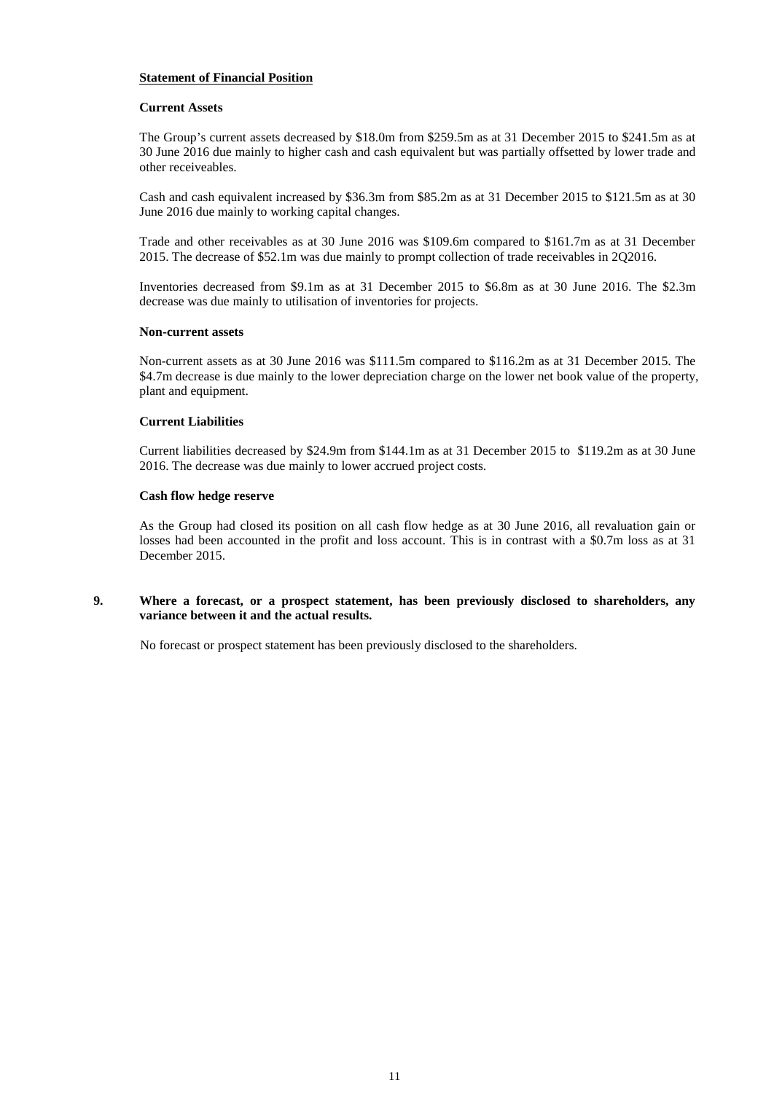## **Statement of Financial Position**

#### **Current Assets**

The Group's current assets decreased by \$18.0m from \$259.5m as at 31 December 2015 to \$241.5m as at 30 June 2016 due mainly to higher cash and cash equivalent but was partially offsetted by lower trade and other receiveables.

Cash and cash equivalent increased by \$36.3m from \$85.2m as at 31 December 2015 to \$121.5m as at 30 June 2016 due mainly to working capital changes.

Trade and other receivables as at 30 June 2016 was \$109.6m compared to \$161.7m as at 31 December 2015. The decrease of \$52.1m was due mainly to prompt collection of trade receivables in 2Q2016.

Inventories decreased from \$9.1m as at 31 December 2015 to \$6.8m as at 30 June 2016. The \$2.3m decrease was due mainly to utilisation of inventories for projects.

#### **Non-current assets**

Non-current assets as at 30 June 2016 was \$111.5m compared to \$116.2m as at 31 December 2015. The \$4.7m decrease is due mainly to the lower depreciation charge on the lower net book value of the property, plant and equipment.

## **Current Liabilities**

Current liabilities decreased by \$24.9m from \$144.1m as at 31 December 2015 to \$119.2m as at 30 June 2016. The decrease was due mainly to lower accrued project costs.

#### **Cash flow hedge reserve**

As the Group had closed its position on all cash flow hedge as at 30 June 2016, all revaluation gain or losses had been accounted in the profit and loss account. This is in contrast with a \$0.7m loss as at 31 December 2015.

## **9. Where a forecast, or a prospect statement, has been previously disclosed to shareholders, any variance between it and the actual results.**

No forecast or prospect statement has been previously disclosed to the shareholders.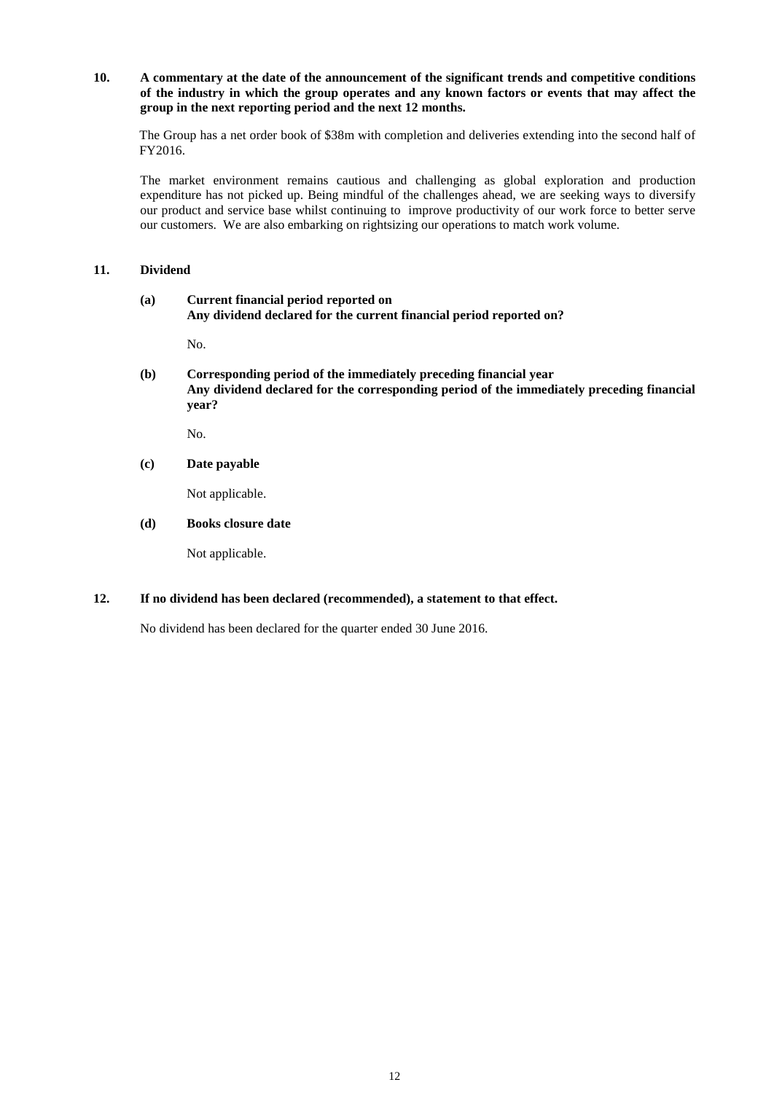## **10. A commentary at the date of the announcement of the significant trends and competitive conditions of the industry in which the group operates and any known factors or events that may affect the group in the next reporting period and the next 12 months.**

The Group has a net order book of \$38m with completion and deliveries extending into the second half of FY2016.

The market environment remains cautious and challenging as global exploration and production expenditure has not picked up. Being mindful of the challenges ahead, we are seeking ways to diversify our product and service base whilst continuing to improve productivity of our work force to better serve our customers. We are also embarking on rightsizing our operations to match work volume.

## **11. Dividend**

#### **(a) Current financial period reported on Any dividend declared for the current financial period reported on?**

No.

**(b) Corresponding period of the immediately preceding financial year Any dividend declared for the corresponding period of the immediately preceding financial year?**

No.

## **(c) Date payable**

Not applicable.

#### **(d) Books closure date**

Not applicable.

## **12. If no dividend has been declared (recommended), a statement to that effect.**

No dividend has been declared for the quarter ended 30 June 2016.